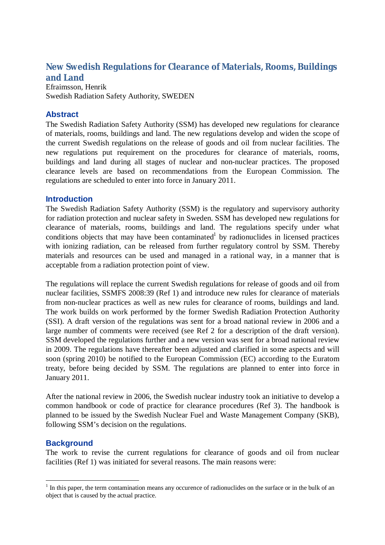# **New Swedish Regulations for Clearance of Materials, Rooms, Buildings and Land**

Efraimsson, Henrik Swedish Radiation Safety Authority, SWEDEN

## **Abstract**

The Swedish Radiation Safety Authority (SSM) has developed new regulations for clearance of materials, rooms, buildings and land. The new regulations develop and widen the scope of the current Swedish regulations on the release of goods and oil from nuclear facilities. The new regulations put requirement on the procedures for clearance of materials, rooms, buildings and land during all stages of nuclear and non-nuclear practices. The proposed clearance levels are based on recommendations from the European Commission. The regulations are scheduled to enter into force in January 2011.

## **Introduction**

The Swedish Radiation Safety Authority (SSM) is the regulatory and supervisory authority for radiation protection and nuclear safety in Sweden. SSM has developed new regulations for clearance of materials, rooms, buildings and land. The regulations specify under what conditions objects that may have been contaminated by radionuclides in licensed practices with ionizing radiation, can be released from further regulatory control by SSM. Thereby materials and resources can be used and managed in a rational way, in a manner that is acceptable from a radiation protection point of view.

The regulations will replace the current Swedish regulations for release of goods and oil from nuclear facilities, SSMFS 2008:39 (Ref 1) and introduce new rules for clearance of materials from non-nuclear practices as well as new rules for clearance of rooms, buildings and land. The work builds on work performed by the former Swedish Radiation Protection Authority (SSI). A draft version of the regulations was sent for a broad national review in 2006 and a large number of comments were received (see Ref 2 for a description of the draft version). SSM developed the regulations further and a new version was sent for a broad national review in 2009. The regulations have thereafter been adjusted and clarified in some aspects and will soon (spring 2010) be notified to the European Commission (EC) according to the Euratom treaty, before being decided by SSM. The regulations are planned to enter into force in January 2011.

After the national review in 2006, the Swedish nuclear industry took an initiative to develop a common handbook or code of practice for clearance procedures (Ref 3). The handbook is planned to be issued by the Swedish Nuclear Fuel and Waste Management Company (SKB), following SSM's decision on the regulations.

## **Background**

 $\overline{a}$ 

The work to revise the current regulations for clearance of goods and oil from nuclear facilities (Ref 1) was initiated for several reasons. The main reasons were:

 $<sup>1</sup>$  In this paper, the term contamination means any occurence of radionuclides on the surface or in the bulk of an</sup> object that is caused by the actual practice.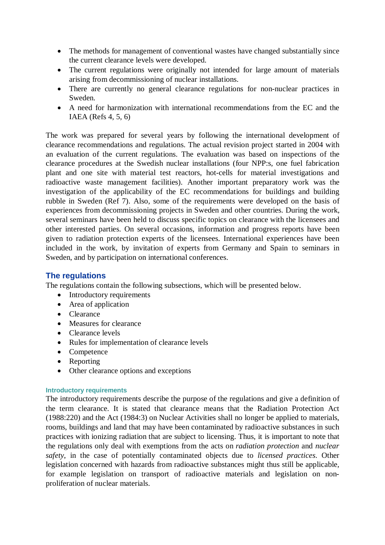- The methods for management of conventional wastes have changed substantially since the current clearance levels were developed.
- The current regulations were originally not intended for large amount of materials arising from decommissioning of nuclear installations.
- There are currently no general clearance regulations for non-nuclear practices in Sweden.
- A need for harmonization with international recommendations from the EC and the IAEA (Refs 4, 5, 6)

The work was prepared for several years by following the international development of clearance recommendations and regulations. The actual revision project started in 2004 with an evaluation of the current regulations. The evaluation was based on inspections of the clearance procedures at the Swedish nuclear installations (four NPP:s, one fuel fabrication plant and one site with material test reactors, hot-cells for material investigations and radioactive waste management facilities). Another important preparatory work was the investigation of the applicability of the EC recommendations for buildings and building rubble in Sweden (Ref 7). Also, some of the requirements were developed on the basis of experiences from decommissioning projects in Sweden and other countries. During the work, several seminars have been held to discuss specific topics on clearance with the licensees and other interested parties. On several occasions, information and progress reports have been given to radiation protection experts of the licensees. International experiences have been included in the work, by invitation of experts from Germany and Spain to seminars in Sweden, and by participation on international conferences.

## **The regulations**

The regulations contain the following subsections, which will be presented below.

- Introductory requirements
- Area of application
- Clearance
- Measures for clearance
- Clearance levels
- Rules for implementation of clearance levels
- Competence
- Reporting
- Other clearance options and exceptions

## **Introductory requirements**

The introductory requirements describe the purpose of the regulations and give a definition of the term clearance. It is stated that clearance means that the Radiation Protection Act (1988:220) and the Act (1984:3) on Nuclear Activities shall no longer be applied to materials, rooms, buildings and land that may have been contaminated by radioactive substances in such practices with ionizing radiation that are subject to licensing. Thus, it is important to note that the regulations only deal with exemptions from the acts on *radiation protection* and *nuclear safety*, in the case of potentially contaminated objects due to *licensed practices*. Other legislation concerned with hazards from radioactive substances might thus still be applicable, for example legislation on transport of radioactive materials and legislation on nonproliferation of nuclear materials.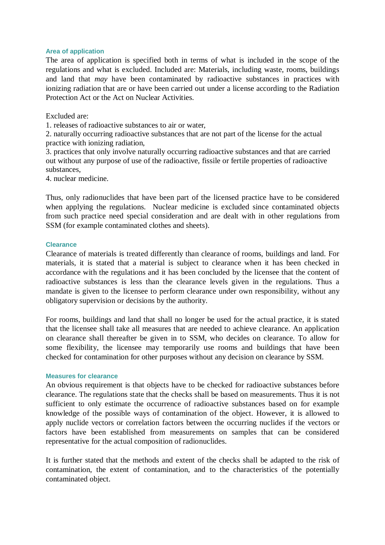#### **Area of application**

The area of application is specified both in terms of what is included in the scope of the regulations and what is excluded. Included are: Materials, including waste, rooms, buildings and land that *may* have been contaminated by radioactive substances in practices with ionizing radiation that are or have been carried out under a license according to the Radiation Protection Act or the Act on Nuclear Activities.

Excluded are:

1. releases of radioactive substances to air or water,

2. naturally occurring radioactive substances that are not part of the license for the actual practice with ionizing radiation,

3. practices that only involve naturally occurring radioactive substances and that are carried out without any purpose of use of the radioactive, fissile or fertile properties of radioactive substances,

4. nuclear medicine.

Thus, only radionuclides that have been part of the licensed practice have to be considered when applying the regulations. Nuclear medicine is excluded since contaminated objects from such practice need special consideration and are dealt with in other regulations from SSM (for example contaminated clothes and sheets).

#### **Clearance**

Clearance of materials is treated differently than clearance of rooms, buildings and land. For materials, it is stated that a material is subject to clearance when it has been checked in accordance with the regulations and it has been concluded by the licensee that the content of radioactive substances is less than the clearance levels given in the regulations. Thus a mandate is given to the licensee to perform clearance under own responsibility, without any obligatory supervision or decisions by the authority.

For rooms, buildings and land that shall no longer be used for the actual practice, it is stated that the licensee shall take all measures that are needed to achieve clearance. An application on clearance shall thereafter be given in to SSM, who decides on clearance. To allow for some flexibility, the licensee may temporarily use rooms and buildings that have been checked for contamination for other purposes without any decision on clearance by SSM.

#### **Measures for clearance**

An obvious requirement is that objects have to be checked for radioactive substances before clearance. The regulations state that the checks shall be based on measurements. Thus it is not sufficient to only estimate the occurrence of radioactive substances based on for example knowledge of the possible ways of contamination of the object. However, it is allowed to apply nuclide vectors or correlation factors between the occurring nuclides if the vectors or factors have been established from measurements on samples that can be considered representative for the actual composition of radionuclides.

It is further stated that the methods and extent of the checks shall be adapted to the risk of contamination, the extent of contamination, and to the characteristics of the potentially contaminated object.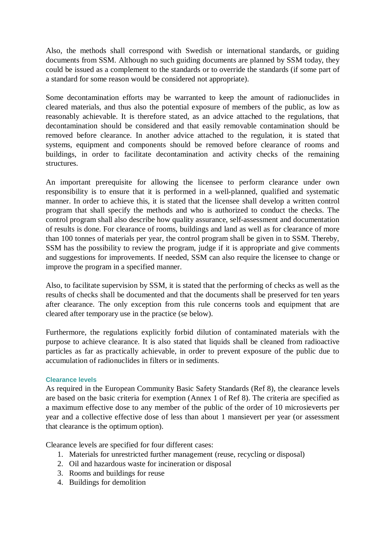Also, the methods shall correspond with Swedish or international standards, or guiding documents from SSM. Although no such guiding documents are planned by SSM today, they could be issued as a complement to the standards or to override the standards (if some part of a standard for some reason would be considered not appropriate).

Some decontamination efforts may be warranted to keep the amount of radionuclides in cleared materials, and thus also the potential exposure of members of the public, as low as reasonably achievable. It is therefore stated, as an advice attached to the regulations, that decontamination should be considered and that easily removable contamination should be removed before clearance. In another advice attached to the regulation, it is stated that systems, equipment and components should be removed before clearance of rooms and buildings, in order to facilitate decontamination and activity checks of the remaining structures.

An important prerequisite for allowing the licensee to perform clearance under own responsibility is to ensure that it is performed in a well-planned, qualified and systematic manner. In order to achieve this, it is stated that the licensee shall develop a written control program that shall specify the methods and who is authorized to conduct the checks. The control program shall also describe how quality assurance, self-assessment and documentation of results is done. For clearance of rooms, buildings and land as well as for clearance of more than 100 tonnes of materials per year, the control program shall be given in to SSM. Thereby, SSM has the possibility to review the program, judge if it is appropriate and give comments and suggestions for improvements. If needed, SSM can also require the licensee to change or improve the program in a specified manner.

Also, to facilitate supervision by SSM, it is stated that the performing of checks as well as the results of checks shall be documented and that the documents shall be preserved for ten years after clearance. The only exception from this rule concerns tools and equipment that are cleared after temporary use in the practice (se below).

Furthermore, the regulations explicitly forbid dilution of contaminated materials with the purpose to achieve clearance. It is also stated that liquids shall be cleaned from radioactive particles as far as practically achievable, in order to prevent exposure of the public due to accumulation of radionuclides in filters or in sediments.

## **Clearance levels**

As required in the European Community Basic Safety Standards (Ref 8), the clearance levels are based on the basic criteria for exemption (Annex 1 of Ref 8). The criteria are specified as a maximum effective dose to any member of the public of the order of 10 microsieverts per year and a collective effective dose of less than about 1 mansievert per year (or assessment that clearance is the optimum option).

Clearance levels are specified for four different cases:

- 1. Materials for unrestricted further management (reuse, recycling or disposal)
- 2. Oil and hazardous waste for incineration or disposal
- 3. Rooms and buildings for reuse
- 4. Buildings for demolition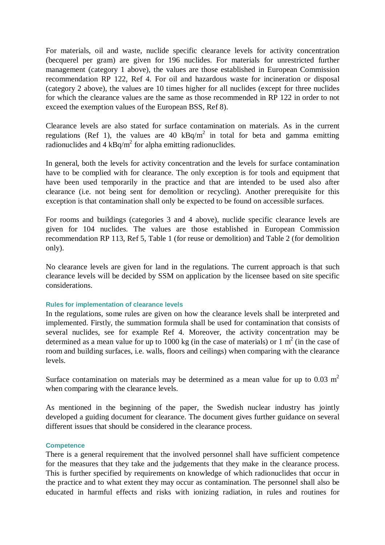For materials, oil and waste, nuclide specific clearance levels for activity concentration (becquerel per gram) are given for 196 nuclides. For materials for unrestricted further management (category 1 above), the values are those established in European Commission recommendation RP 122, Ref 4. For oil and hazardous waste for incineration or disposal (category 2 above), the values are 10 times higher for all nuclides (except for three nuclides for which the clearance values are the same as those recommended in RP 122 in order to not exceed the exemption values of the European BSS, Ref 8).

Clearance levels are also stated for surface contamination on materials. As in the current regulations (Ref 1), the values are 40  $kBq/m^2$  in total for beta and gamma emitting radionuclides and  $4 \text{ kBq/m}^2$  for alpha emitting radionuclides.

In general, both the levels for activity concentration and the levels for surface contamination have to be complied with for clearance. The only exception is for tools and equipment that have been used temporarily in the practice and that are intended to be used also after clearance (i.e. not being sent for demolition or recycling). Another prerequisite for this exception is that contamination shall only be expected to be found on accessible surfaces.

For rooms and buildings (categories 3 and 4 above), nuclide specific clearance levels are given for 104 nuclides. The values are those established in European Commission recommendation RP 113, Ref 5, Table 1 (for reuse or demolition) and Table 2 (for demolition only).

No clearance levels are given for land in the regulations. The current approach is that such clearance levels will be decided by SSM on application by the licensee based on site specific considerations.

#### **Rules for implementation of clearance levels**

In the regulations, some rules are given on how the clearance levels shall be interpreted and implemented. Firstly, the summation formula shall be used for contamination that consists of several nuclides, see for example Ref 4. Moreover, the activity concentration may be determined as a mean value for up to 1000 kg (in the case of materials) or 1  $m<sup>2</sup>$  (in the case of room and building surfaces, i.e. walls, floors and ceilings) when comparing with the clearance levels.

Surface contamination on materials may be determined as a mean value for up to 0.03  $m<sup>2</sup>$ when comparing with the clearance levels.

As mentioned in the beginning of the paper, the Swedish nuclear industry has jointly developed a guiding document for clearance. The document gives further guidance on several different issues that should be considered in the clearance process.

#### **Competence**

There is a general requirement that the involved personnel shall have sufficient competence for the measures that they take and the judgements that they make in the clearance process. This is further specified by requirements on knowledge of which radionuclides that occur in the practice and to what extent they may occur as contamination. The personnel shall also be educated in harmful effects and risks with ionizing radiation, in rules and routines for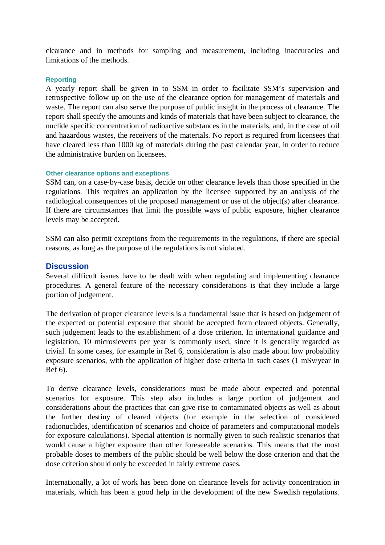clearance and in methods for sampling and measurement, including inaccuracies and limitations of the methods.

#### **Reporting**

A yearly report shall be given in to SSM in order to facilitate SSM's supervision and retrospective follow up on the use of the clearance option for management of materials and waste. The report can also serve the purpose of public insight in the process of clearance. The report shall specify the amounts and kinds of materials that have been subject to clearance, the nuclide specific concentration of radioactive substances in the materials, and, in the case of oil and hazardous wastes, the receivers of the materials. No report is required from licensees that have cleared less than 1000 kg of materials during the past calendar year, in order to reduce the administrative burden on licensees.

#### **Other clearance options and exceptions**

SSM can, on a case-by-case basis, decide on other clearance levels than those specified in the regulations. This requires an application by the licensee supported by an analysis of the radiological consequences of the proposed management or use of the object(s) after clearance. If there are circumstances that limit the possible ways of public exposure, higher clearance levels may be accepted.

SSM can also permit exceptions from the requirements in the regulations, if there are special reasons, as long as the purpose of the regulations is not violated.

## **Discussion**

Several difficult issues have to be dealt with when regulating and implementing clearance procedures. A general feature of the necessary considerations is that they include a large portion of judgement.

The derivation of proper clearance levels is a fundamental issue that is based on judgement of the expected or potential exposure that should be accepted from cleared objects. Generally, such judgement leads to the establishment of a dose criterion. In international guidance and legislation, 10 microsieverts per year is commonly used, since it is generally regarded as trivial. In some cases, for example in Ref 6, consideration is also made about low probability exposure scenarios, with the application of higher dose criteria in such cases (1 mSv/year in Ref 6).

To derive clearance levels, considerations must be made about expected and potential scenarios for exposure. This step also includes a large portion of judgement and considerations about the practices that can give rise to contaminated objects as well as about the further destiny of cleared objects (for example in the selection of considered radionuclides, identification of scenarios and choice of parameters and computational models for exposure calculations). Special attention is normally given to such realistic scenarios that would cause a higher exposure than other foreseeable scenarios. This means that the most probable doses to members of the public should be well below the dose criterion and that the dose criterion should only be exceeded in fairly extreme cases.

Internationally, a lot of work has been done on clearance levels for activity concentration in materials, which has been a good help in the development of the new Swedish regulations.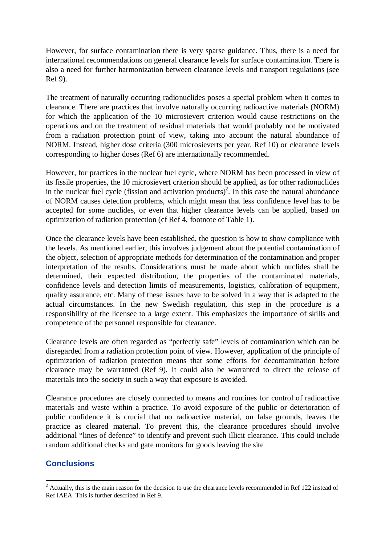However, for surface contamination there is very sparse guidance. Thus, there is a need for international recommendations on general clearance levels for surface contamination. There is also a need for further harmonization between clearance levels and transport regulations (see Ref 9).

The treatment of naturally occurring radionuclides poses a special problem when it comes to clearance. There are practices that involve naturally occurring radioactive materials (NORM) for which the application of the 10 microsievert criterion would cause restrictions on the operations and on the treatment of residual materials that would probably not be motivated from a radiation protection point of view, taking into account the natural abundance of NORM. Instead, higher dose criteria (300 microsieverts per year, Ref 10) or clearance levels corresponding to higher doses (Ref 6) are internationally recommended.

However, for practices in the nuclear fuel cycle, where NORM has been processed in view of its fissile properties, the 10 microsievert criterion should be applied, as for other radionuclides in the nuclear fuel cycle (fission and activation products)<sup>2</sup>. In this case the natural abundance of NORM causes detection problems, which might mean that less confidence level has to be accepted for some nuclides, or even that higher clearance levels can be applied, based on optimization of radiation protection (cf Ref 4, footnote of Table 1).

Once the clearance levels have been established, the question is how to show compliance with the levels. As mentioned earlier, this involves judgement about the potential contamination of the object, selection of appropriate methods for determination of the contamination and proper interpretation of the results. Considerations must be made about which nuclides shall be determined, their expected distribution, the properties of the contaminated materials, confidence levels and detection limits of measurements, logistics, calibration of equipment, quality assurance, etc. Many of these issues have to be solved in a way that is adapted to the actual circumstances. In the new Swedish regulation, this step in the procedure is a responsibility of the licensee to a large extent. This emphasizes the importance of skills and competence of the personnel responsible for clearance.

Clearance levels are often regarded as "perfectly safe" levels of contamination which can be disregarded from a radiation protection point of view. However, application of the principle of optimization of radiation protection means that some efforts for decontamination before clearance may be warranted (Ref 9). It could also be warranted to direct the release of materials into the society in such a way that exposure is avoided.

Clearance procedures are closely connected to means and routines for control of radioactive materials and waste within a practice. To avoid exposure of the public or deterioration of public confidence it is crucial that no radioactive material, on false grounds, leaves the practice as cleared material. To prevent this, the clearance procedures should involve additional "lines of defence" to identify and prevent such illicit clearance. This could include random additional checks and gate monitors for goods leaving the site

## **Conclusions**

 $\overline{a}$  $2^2$  Actually, this is the main reason for the decision to use the clearance levels recommended in Ref 122 instead of Ref IAEA. This is further described in Ref 9.